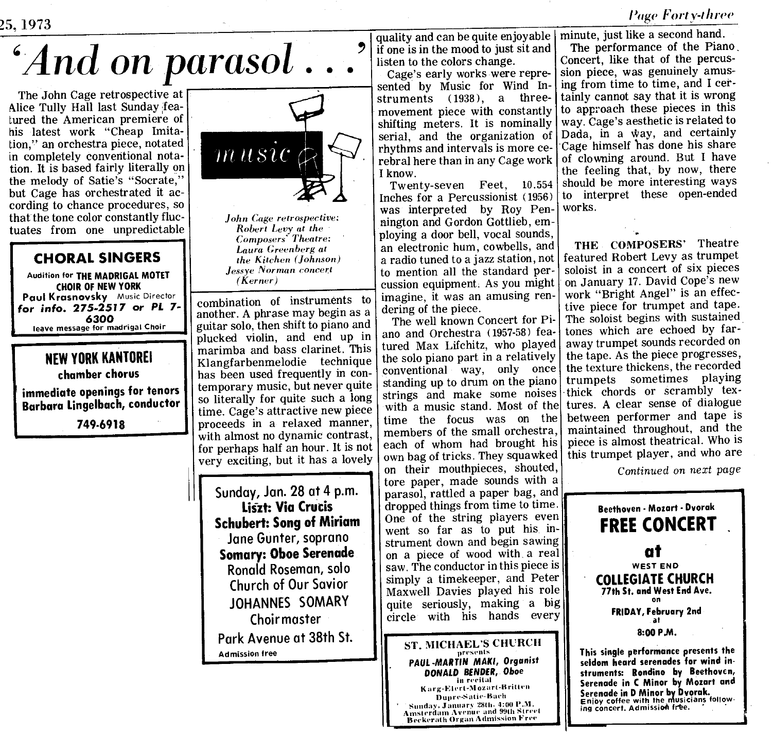Page Forty-three

## `And on parasol

The John Cage retrospective at Alice Tully Hall last Sunday featured the American premiere of his latest work "Cheap Imitation," an orchestra piece, notated in completely conventional notation . It is based fairly literally on the melody of Satie's "Socrate," but Cage has orchestrated it according to chance procedures, so that the tone color constantly fluctuates from one unpredictable

## CHORAL SINGERS

Audition for THE MADRIGAL MOTET CHOIR OF NEW YORK Paul Krasnovsky Music Director for info. 275-2517 or PL 7- 6300 leave message for madrigal Choir

## NEW YORK KANTOREI chamber chorus

immediate openings for tenors <sup>f</sup> Barbara Lingelbach, conductor

749-6918



John Cage retrospective: Robert Levy at the Composers' Theatre; Laura Greenberg at the Kitchen (Johnson) Je.ssye Norman concert (Kerner)

combination of instruments to imagine, it was an another A phrase may begin as a defining of the piece. another. A phrase may begin as a  $\vert$  dering of the piece.<br>guitar solo, then shift to piano and  $\vert$ . The well known Concert for Piguitar solo, then shift to piano and The well known Concert for Pi-<br>plughed, violing and and up in ano and Orchestra (1957-58) feaplucked violin, and end up in ano and Orchestra (1957-58) feamarimba and bass clarinet. This ured Max Liftchitz, who played<br>Klangfarhenmelodie technique the solo piano part in a relatively Klangfarbenmelodie technique the solo piano part in a relatively<br>has been used frequently in conhas been used frequently in con- $\vert$  conventional way, only once<br>temporary music but never quite standing up to drum on the piano temporary music, but never quite  $\vert$  standing up to drum on the piano<br>so literally for quite such a long strings and make some noises so literally for quite such a long strings and make some noises<br>time Cogo's attractive new piece with a music stand. Most of the time. Cage's attractive new piece with a music stand. Most of the proceeds in a relaxed manner time the focus was on the proceeds in a relaxed manner, time the focus was on the with almost no dynamic contrast with almost no dynamic contrast, members of the small orchestra, for perhaps half an hour. It is not each of whom had brought his for perhaps half an hour. It is not each of whom had brought his very exciting but it has a lovely own bag of tricks. They squawked very exciting, but it has a lovely

Sunday, Jan. 28 at 4 p.m. Liszt: Via Crucis Schubert: Song of Miriam Jane Gunter, soprano Somary: Oboe Serenade Ronald Roseman, solo Church of Our Savior JOHANNES SOMARY Choirmaster Park Avenue at 38th St. Admission free

quality and can be quite enjoyable if one is in the mood to just sit and listen to the colors change.

Cage's early works were represented by Music for Wind Instruments (1938), a threemovement piece with constantly shifting meters. It is nominally serial, and the organization of rhythms and intervals is more cerebral here than in any Cage work <sup>I</sup> know.

Twenty-seven Feet, 10.554 Inches for a Percussionist (1956) was interpreted by Roy Pennington and Gordon Gottlieb, employing a door bell, vocal sounds, an electronic hum, cowbells, and a radio tuned to a jazz station, not to mention all the standard percussion equipment. As you might<br>imagine, it was an amusing ren-

on their mouthpieces, shouted, tore paper, made sounds with a parasol, rattled a paper bag, and dropped things from time to time. One of the string players even went so far as to put his instrument down and begin sawing on a piece of wood with a real saw. The conductor in this piece is simply a timekeeper, and Peter Maxwell Davies played his role quite seriously, making a big circle with his hands every

ST. MICHAEL'S CHURCH Karg-Elert-Mozart-Britten Dupre-Satie-Bach<br>Sunday, January 28th, 4:00 P.M.

Serenade in D Minor by Dvorak.<br>
Dupre-Satie-Bach<br>
Serenade in D Minor by Dvorak.<br>
Serenade in D Minor by Dvorak.<br>
Amsterdam Avenue and 99th Street<br>
ing concert. Admission free. Amsterdam Avrnue and 99th Slrrrl 13cckerath organ Admission Free

minute, just like a second hand. The performance of the Piano, Concert, like that of the percussion piece, was genuinely amusing from time to time, and I certainly cannot say that it is wrong to approach these pieces in this way. Cage's aesthetic is related to Dada, in a way, and certainly Cage himself has done his share of clowning around. But <sup>I</sup> have the feeling that, by now, there should be more interesting ways to interpret these open-ended works.

THE COMPOSERS' Theatre featured Robert Levy as trumpet soloist in a concert of six pieces on January <sup>17</sup> . David Cope's new work "Bright Angel" is an effective piece for trumpet and tape. The soloist begins with sustained tones which are echoed by faraway trumpet sounds recorded on the tape. As the piece progresses, the texture thickens, the recorded trumpets sometimes playing -thick chords or scrambly textures. A clear sense of dialogue between performer and tape is maintained throughout, and the piece is almost theatrical . Who is this trumpet player, and who are

Continued on next page